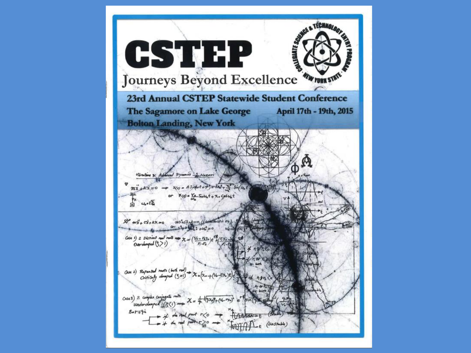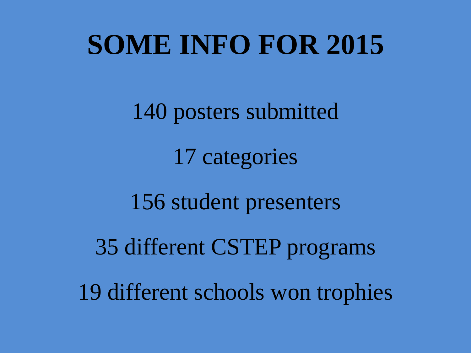### **SOME INFO FOR 2015**

140 posters submitted 17 categories 156 student presenters 35 different CSTEP programs 19 different schools won trophies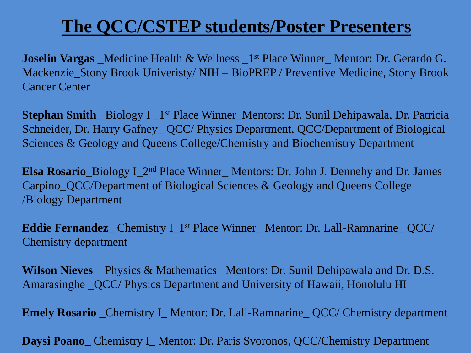#### **The QCC/CSTEP students/Poster Presenters**

**Joselin Vargas** Medicine Health & Wellness 1<sup>st</sup> Place Winner Mentor: Dr. Gerardo G. Mackenzie\_Stony Brook Univeristy/ NIH – BioPREP / Preventive Medicine, Stony Brook Cancer Center

**Stephan Smith\_Biology I\_1st Place Winner\_Mentors: Dr. Sunil Dehipawala, Dr. Patricia** Schneider, Dr. Harry Gafney\_ QCC/ Physics Department, QCC/Department of Biological Sciences & Geology and Queens College/Chemistry and Biochemistry Department

**Elsa Rosario**\_Biology I\_2nd Place Winner\_ Mentors: Dr. John J. Dennehy and Dr. James Carpino\_QCC/Department of Biological Sciences & Geology and Queens College /Biology Department

**Eddie Fernandez**\_ Chemistry I\_1st Place Winner\_ Mentor: Dr. Lall-Ramnarine\_ QCC/ Chemistry department

**Wilson Nieves** \_ Physics & Mathematics \_Mentors: Dr. Sunil Dehipawala and Dr. D.S. Amarasinghe \_QCC/ Physics Department and University of Hawaii, Honolulu HI

**Emely Rosario** \_Chemistry I\_ Mentor: Dr. Lall-Ramnarine\_ QCC/ Chemistry department

**Daysi Poano\_ Chemistry I\_ Mentor: Dr. Paris Svoronos, QCC/Chemistry Department**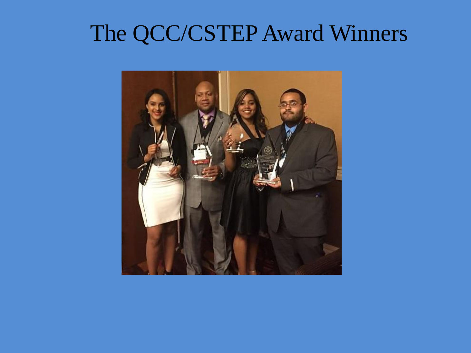#### The QCC/CSTEP Award Winners

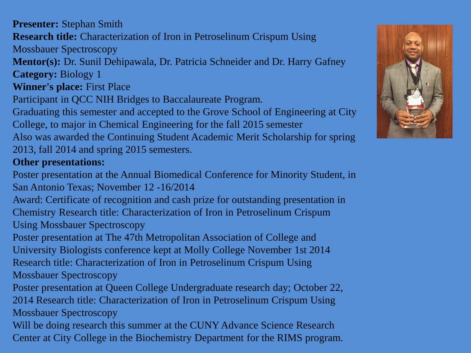**Presenter:** Stephan Smith **Research title:** Characterization of Iron in Petroselinum Crispum Using Mossbauer Spectroscopy **Mentor(s):** Dr. Sunil Dehipawala, Dr. Patricia Schneider and Dr. Harry Gafney **Category:** Biology 1

**Winner's place:** First Place

Participant in QCC NIH Bridges to Baccalaureate Program.

Graduating this semester and accepted to the Grove School of Engineering at City College, to major in Chemical Engineering for the fall 2015 semester

Also was awarded the Continuing Student Academic Merit Scholarship for spring 2013, fall 2014 and spring 2015 semesters.

#### **Other presentations:**

Poster presentation at the Annual Biomedical Conference for Minority Student, in San Antonio Texas; November 12 -16/2014

Award: Certificate of recognition and cash prize for outstanding presentation in Chemistry Research title: Characterization of Iron in Petroselinum Crispum Using Mossbauer Spectroscopy

Poster presentation at The 47th Metropolitan Association of College and University Biologists conference kept at Molly College November 1st 2014 Research title: Characterization of Iron in Petroselinum Crispum Using Mossbauer Spectroscopy

Poster presentation at Queen College Undergraduate research day; October 22,

2014 Research title: Characterization of Iron in Petroselinum Crispum Using Mossbauer Spectroscopy

Will be doing research this summer at the CUNY Advance Science Research Center at City College in the Biochemistry Department for the RIMS program.

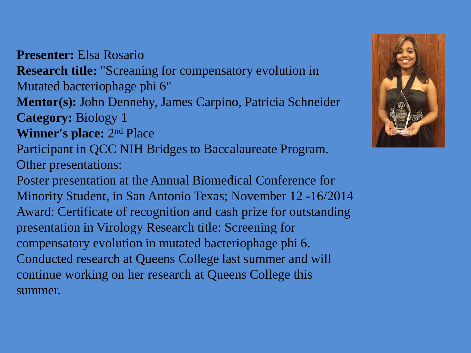**Presenter:** Elsa Rosario **Research title:** "Screaning for compensatory evolution in Mutated bacteriophage phi 6" **Mentor(s):** John Dennehy, James Carpino, Patricia Schneider **Category:** Biology 1 **Winner's place:** 2<sup>nd</sup> Place Participant in QCC NIH Bridges to Baccalaureate Program. Other presentations: Poster presentation at the Annual Biomedical Conference for Minority Student, in San Antonio Texas; November 12 -16/2014 Award: Certificate of recognition and cash prize for outstanding presentation in Virology Research title: Screening for compensatory evolution in mutated bacteriophage phi 6. Conducted research at Queens College last summer and will continue working on her research at Queens College this summer.

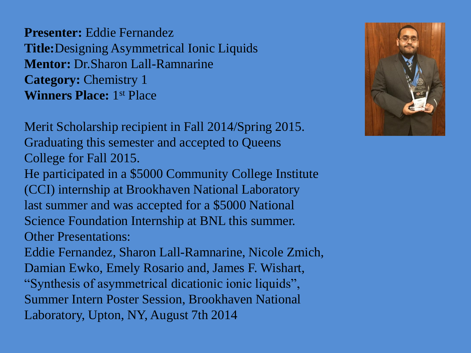**Presenter:** Eddie Fernandez **Title:**Designing Asymmetrical Ionic Liquids **Mentor:** Dr.Sharon Lall-Ramnarine **Category:** Chemistry 1 **Winners Place:** 1st Place

Merit Scholarship recipient in Fall 2014/Spring 2015. Graduating this semester and accepted to Queens College for Fall 2015. He participated in a \$5000 Community College Institute (CCI) internship at Brookhaven National Laboratory last summer and was accepted for a \$5000 National Science Foundation Internship at BNL this summer. Other Presentations: Eddie Fernandez, Sharon Lall-Ramnarine, Nicole Zmich, Damian Ewko, Emely Rosario and, James F. Wishart, "Synthesis of asymmetrical dicationic ionic liquids", Summer Intern Poster Session, Brookhaven National Laboratory, Upton, NY, August 7th 2014

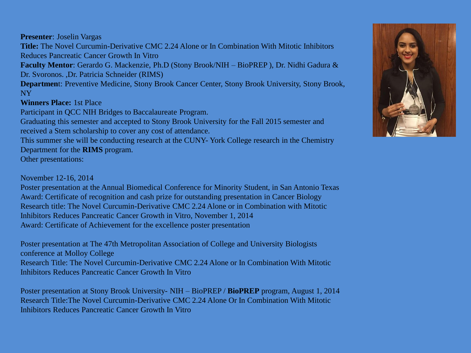**Presenter**: Joselin Vargas

**Title:** The Novel Curcumin-Derivative CMC 2.24 Alone or In Combination With Mitotic Inhibitors Reduces Pancreatic Cancer Growth In Vitro

**Faculty Mentor**: Gerardo G. Mackenzie, Ph.D (Stony Brook/NIH – BioPREP ), Dr. Nidhi Gadura & Dr. Svoronos. ,Dr. Patricia Schneider (RIMS)

**Departmen**t: Preventive Medicine, Stony Brook Cancer Center, Stony Brook University, Stony Brook, NY

**Winners Place:** 1st Place

Participant in QCC NIH Bridges to Baccalaureate Program.

Graduating this semester and accepted to Stony Brook University for the Fall 2015 semester and received a Stem scholarship to cover any cost of attendance.

This summer she will be conducting research at the CUNY- York College research in the Chemistry Department for the **RIMS** program.

Other presentations:

November 12-16, 2014

Poster presentation at the Annual Biomedical Conference for Minority Student, in San Antonio Texas Award: Certificate of recognition and cash prize for outstanding presentation in Cancer Biology Research title: The Novel Curcumin-Derivative CMC 2.24 Alone or in Combination with Mitotic Inhibitors Reduces Pancreatic Cancer Growth in Vitro, November 1, 2014 Award: Certificate of Achievement for the excellence poster presentation

Poster presentation at The 47th Metropolitan Association of College and University Biologists conference at Molloy College Research Title: The Novel Curcumin-Derivative CMC 2.24 Alone or In Combination With Mitotic Inhibitors Reduces Pancreatic Cancer Growth In Vitro

Poster presentation at Stony Brook University- NIH – BioPREP / **BioPREP** program, August 1, 2014 Research Title:The Novel Curcumin-Derivative CMC 2.24 Alone Or In Combination With Mitotic Inhibitors Reduces Pancreatic Cancer Growth In Vitro

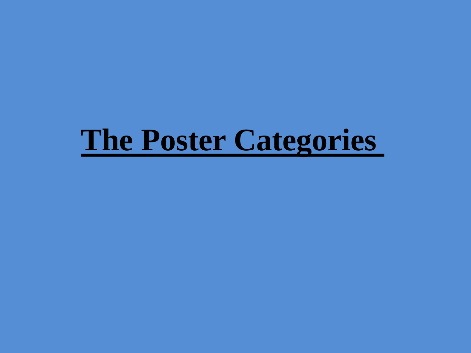### **The Poster Categories**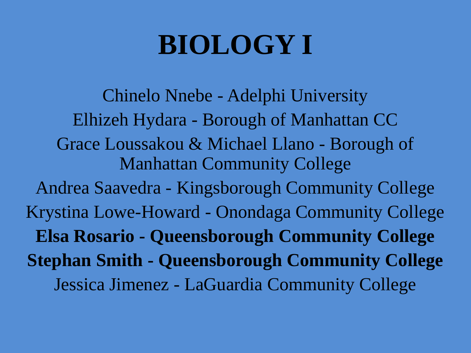# **BIOLOGY I**

Chinelo Nnebe - Adelphi University Elhizeh Hydara - Borough of Manhattan CC Grace Loussakou & Michael Llano - Borough of Manhattan Community College Andrea Saavedra - Kingsborough Community College Krystina Lowe-Howard - Onondaga Community College **Elsa Rosario - Queensborough Community College Stephan Smith - Queensborough Community College** Jessica Jimenez - LaGuardia Community College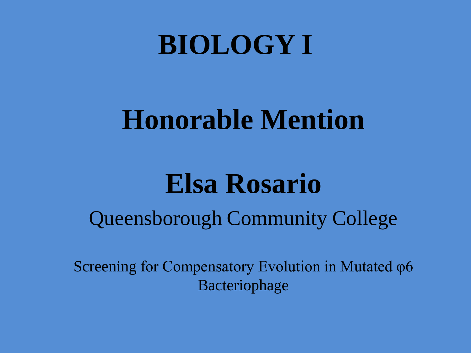### **BIOLOGY I**

### **Honorable Mention**

### **Elsa Rosario**

#### Queensborough Community College

Screening for Compensatory Evolution in Mutated φ6 Bacteriophage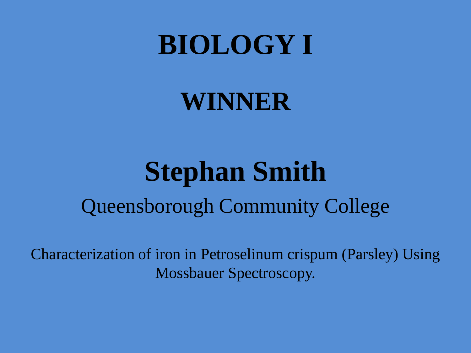### **BIOLOGY I**

#### **WINNER**

### **Stephan Smith** Queensborough Community College

Characterization of iron in Petroselinum crispum (Parsley) Using Mossbauer Spectroscopy.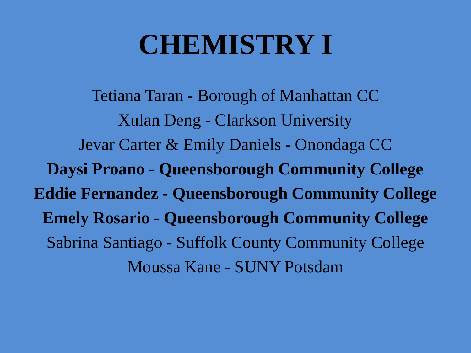### **CHEMISTRY I**

Tetiana Taran - Borough of Manhattan CC Xulan Deng - Clarkson University Jevar Carter & Emily Daniels - Onondaga CC **Daysi Proano - Queensborough Community College Eddie Fernandez - Queensborough Community College Emely Rosario - Queensborough Community College** Sabrina Santiago - Suffolk County Community College Moussa Kane - SUNY Potsdam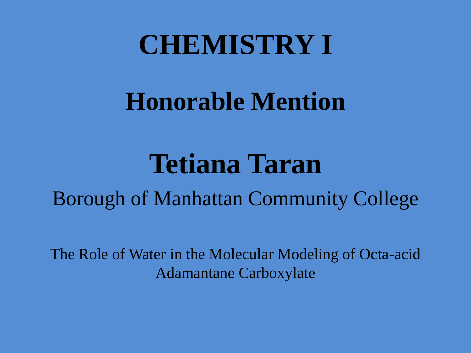#### **CHEMISTRY I**

### **Honorable Mention**

### **Tetiana Taran**

Borough of Manhattan Community College

The Role of Water in the Molecular Modeling of Octa-acid Adamantane Carboxylate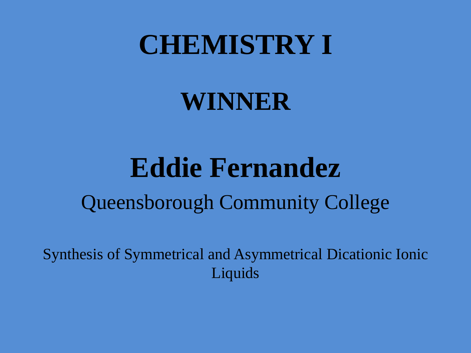#### **CHEMISTRY I**

#### **WINNER**

### **Eddie Fernandez** Queensborough Community College

Synthesis of Symmetrical and Asymmetrical Dicationic Ionic Liquids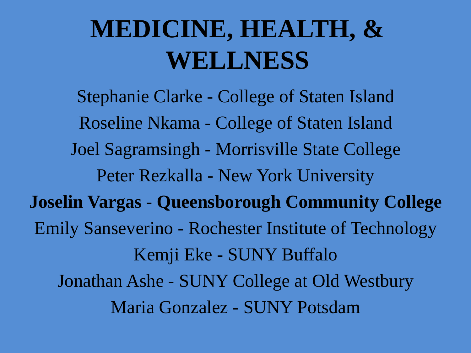### **MEDICINE, HEALTH, & WELLNESS**

Stephanie Clarke - College of Staten Island Roseline Nkama - College of Staten Island Joel Sagramsingh - Morrisville State College Peter Rezkalla - New York University **Joselin Vargas - Queensborough Community College** Emily Sanseverino - Rochester Institute of Technology Kemji Eke - SUNY Buffalo Jonathan Ashe - SUNY College at Old Westbury Maria Gonzalez - SUNY Potsdam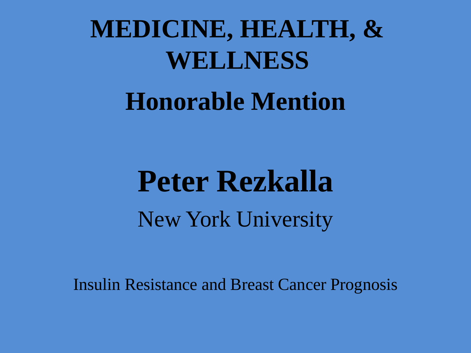## **MEDICINE, HEALTH, & WELLNESS**

#### **Honorable Mention**

# **Peter Rezkalla** New York University

Insulin Resistance and Breast Cancer Prognosis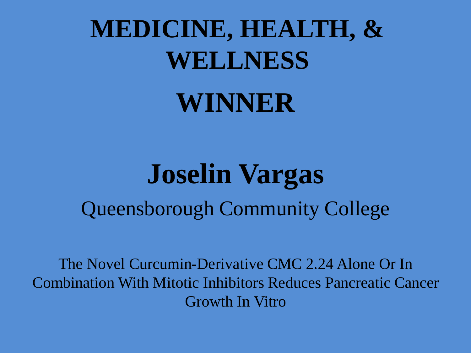# **MEDICINE, HEALTH, & WELLNESS**

#### **WINNER**

### **Joselin Vargas** Queensborough Community College

The Novel Curcumin-Derivative CMC 2.24 Alone Or In Combination With Mitotic Inhibitors Reduces Pancreatic Cancer Growth In Vitro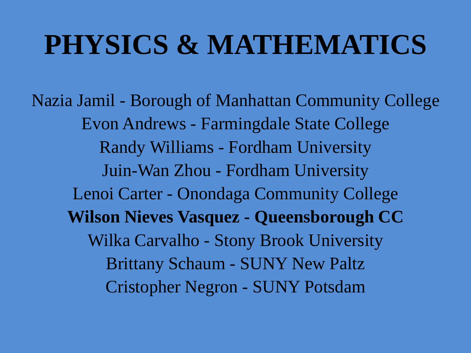## **PHYSICS & MATHEMATICS**

Nazia Jamil - Borough of Manhattan Community College Evon Andrews - Farmingdale State College Randy Williams - Fordham University Juin-Wan Zhou - Fordham University Lenoi Carter - Onondaga Community College **Wilson Nieves Vasquez - Queensborough CC** Wilka Carvalho - Stony Brook University Brittany Schaum - SUNY New Paltz Cristopher Negron - SUNY Potsdam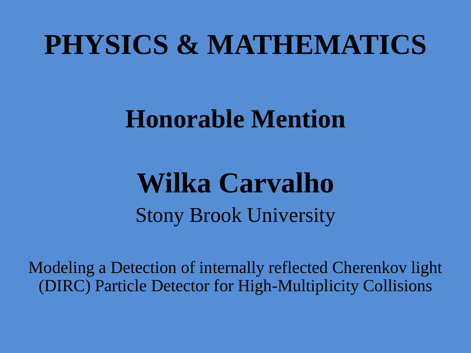### **PHYSICS & MATHEMATICS**

#### **Honorable Mention**

### **Wilka Carvalho** Stony Brook University

Modeling a Detection of internally reflected Cherenkov light (DIRC) Particle Detector for High-Multiplicity Collisions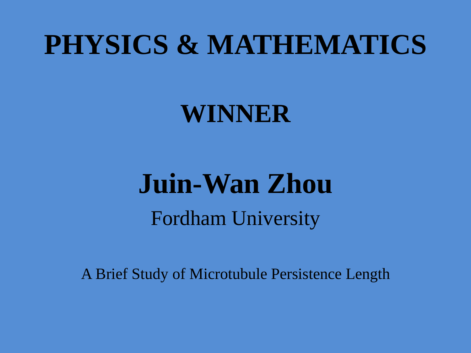### **PHYSICS & MATHEMATICS**

#### **WINNER**

# **Juin-Wan Zhou** Fordham University

A Brief Study of Microtubule Persistence Length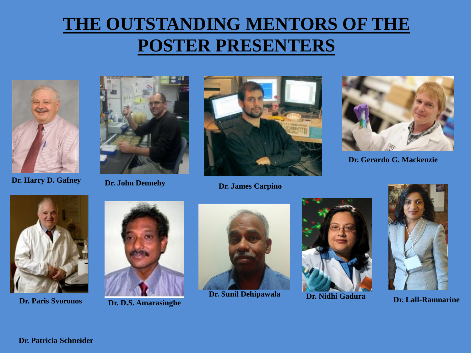#### **THE OUTSTANDING MENTORS OF THE POSTER PRESENTERS**







**Dr. Harry D. Gafney Dr. John Dennehy Dr. James Carpino**



**Dr. Gerardo G. Mackenzie**





**Dr. Paris Svoronos Dr. D.S. Amarasinghe**



**Dr. Sunil Dehipawala Dr. Nidhi Gadura** 





**Dr. Lall-Ramnarine**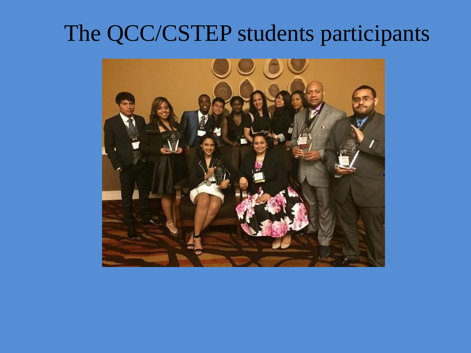#### The QCC/CSTEP students participants

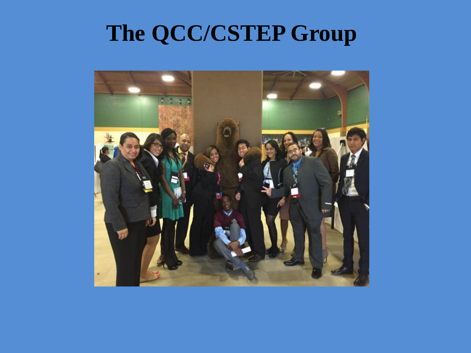#### **The QCC/CSTEP Group**

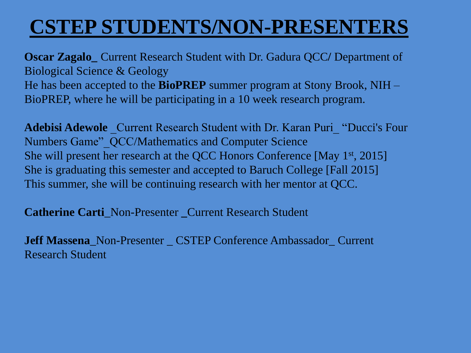#### **CSTEP STUDENTS/NON-PRESENTERS**

**Oscar Zagalo\_** Current Research Student with Dr. Gadura QCC**/** Department of Biological Science & Geology He has been accepted to the **BioPREP** summer program at Stony Brook, NIH – BioPREP, where he will be participating in a 10 week research program.

**Adebisi Adewole** Current Research Student with Dr. Karan Puri "Ducci's Four Numbers Game"\_QCC/Mathematics and Computer Science She will present her research at the QCC Honors Conference [May 1st, 2015] She is graduating this semester and accepted to Baruch College [Fall 2015] This summer, she will be continuing research with her mentor at QCC.

**Catherine Carti** Non-Presenter Current Research Student

**Jeff Massena**\_Non-Presenter \_ CSTEP Conference Ambassador\_ Current Research Student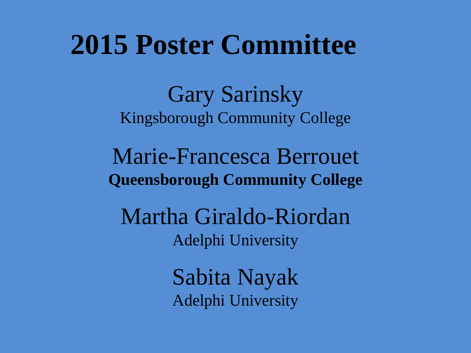#### **2015 Poster Committee**

Gary Sarinsky Kingsborough Community College

Marie-Francesca Berrouet **Queensborough Community College**

Martha Giraldo-Riordan Adelphi University

> Sabita Nayak Adelphi University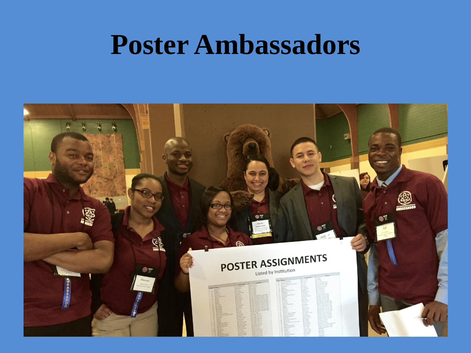#### **Poster Ambassadors**

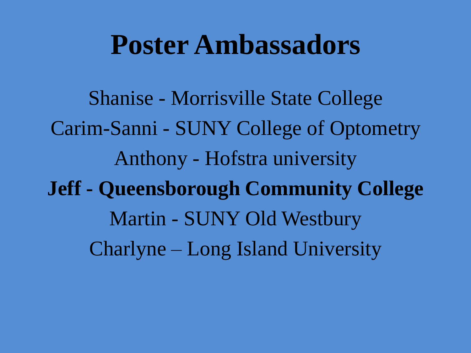#### **Poster Ambassadors**

Shanise - Morrisville State College Carim-Sanni - SUNY College of Optometry Anthony - Hofstra university **Jeff - Queensborough Community College**  Martin - SUNY Old Westbury Charlyne – Long Island University